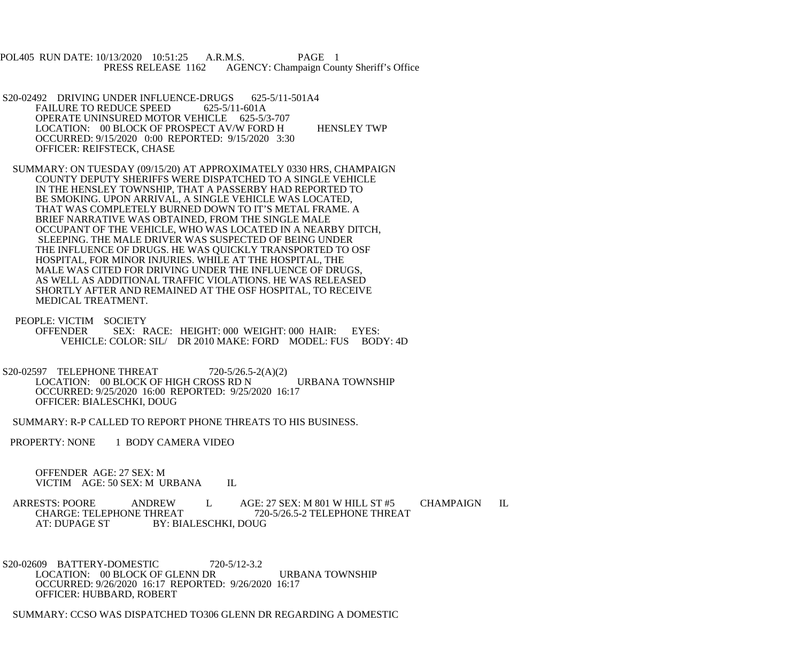POL405 RUN DATE: 10/13/2020 10:51:25 A.R.M.S. PAGE 1 PRESS RELEASE 1162 AGENCY: Champaign County Sheriff's Office

S20-02492 DRIVING UNDER INFLUENCE-DRUGS 625-5/11-501A4<br>FAILURE TO REDUCE SPEED 625-5/11-601A FAILURE TO REDUCE SPEED OPERATE UNINSURED MOTOR VEHICLE 625-5/3-707 LOCATION: 00 BLOCK OF PROSPECT AV/W FORD H HENSLEY TWP OCCURRED: 9/15/2020 0:00 REPORTED: 9/15/2020 3:30 OFFICER: REIFSTECK, CHASE

 SUMMARY: ON TUESDAY (09/15/20) AT APPROXIMATELY 0330 HRS, CHAMPAIGN COUNTY DEPUTY SHERIFFS WERE DISPATCHED TO A SINGLE VEHICLE IN THE HENSLEY TOWNSHIP, THAT A PASSERBY HAD REPORTED TO BE SMOKING. UPON ARRIVAL, A SINGLE VEHICLE WAS LOCATED, THAT WAS COMPLETELY BURNED DOWN TO IT'S METAL FRAME. A BRIEF NARRATIVE WAS OBTAINED, FROM THE SINGLE MALE OCCUPANT OF THE VEHICLE, WHO WAS LOCATED IN A NEARBY DITCH, SLEEPING. THE MALE DRIVER WAS SUSPECTED OF BEING UNDER THE INFLUENCE OF DRUGS. HE WAS QUICKLY TRANSPORTED TO OSF HOSPITAL, FOR MINOR INJURIES. WHILE AT THE HOSPITAL, THE MALE WAS CITED FOR DRIVING UNDER THE INFLUENCE OF DRUGS, AS WELL AS ADDITIONAL TRAFFIC VIOLATIONS. HE WAS RELEASED SHORTLY AFTER AND REMAINED AT THE OSF HOSPITAL, TO RECEIVE MEDICAL TREATMENT.

 PEOPLE: VICTIM SOCIETY OFFENDER SEX: RACE: HEIGHT: 000 WEIGHT: 000 HAIR: EYES: VEHICLE: COLOR: SIL/ DR 2010 MAKE: FORD MODEL: FUS BODY: 4D

S20-02597 TELEPHONE THREAT 720-5/26.5-2(A)(2) LOCATION: 00 BLOCK OF HIGH CROSS RD N URBANA TOWNSHIP OCCURRED: 9/25/2020 16:00 REPORTED: 9/25/2020 16:17 OFFICER: BIALESCHKI, DOUG

SUMMARY: R-P CALLED TO REPORT PHONE THREATS TO HIS BUSINESS.

PROPERTY: NONE 1 BODY CAMERA VIDEO

 OFFENDER AGE: 27 SEX: M VICTIM AGE: 50 SEX: M URBANA IL

ARRESTS: POORE ANDREW L AGE: 27 SEX: M 801 W HILL ST #5 CHAMPAIGN IL<br>CHARGE: TELEPHONE THREAT 720-5/26.5-2 TELEPHONE THREAT 720-5/26.5-2 TELEPHONE THREAT AT: DUPAGE ST BY: BIALESCHKI, DOUG

 S20-02609 BATTERY-DOMESTIC 720-5/12-3.2 LOCATION: 00 BLOCK OF GLENN DR URBANA TOWNSHIP OCCURRED: 9/26/2020 16:17 REPORTED: 9/26/2020 16:17 OFFICER: HUBBARD, ROBERT

SUMMARY: CCSO WAS DISPATCHED TO306 GLENN DR REGARDING A DOMESTIC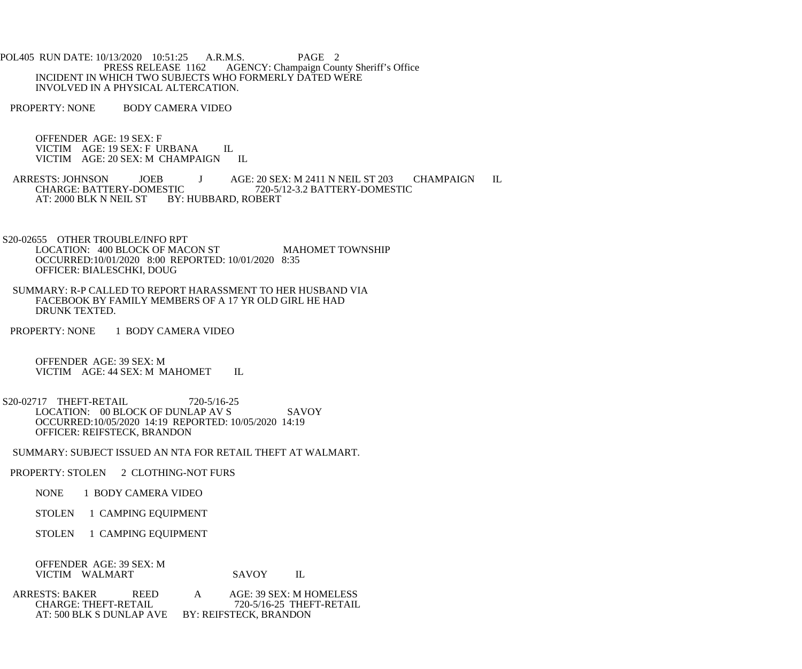POL405 RUN DATE: 10/13/2020 10:51:25 A.R.M.S. PAGE 2<br>PRESS RELEASE 1162 AGENCY: Champaign Cou AGENCY: Champaign County Sheriff's Office INCIDENT IN WHICH TWO SUBJECTS WHO FORMERLY DATED WERE INVOLVED IN A PHYSICAL ALTERCATION.

PROPERTY: NONE BODY CAMERA VIDEO

 OFFENDER AGE: 19 SEX: F VICTIM AGE: 19 SEX: F URBANA IL VICTIM AGE: 20 SEX: M CHAMPAIGN IL

- ARRESTS: JOHNSON JOEB J AGE: 20 SEX: M 2411 N NEIL ST 203 CHAMPAIGN IL<br>CHARGE: BATTERY-DOMESTIC 720-5/12-3.2 BATTERY-DOMESTIC CHARGE: BATTERY-DOMESTIC 720-5/12-3.2 BATTERY-DOMESTIC AT: 2000 BLK N NEIL ST BY: HUBBARD, ROBERT
- S20-02655 OTHER TROUBLE/INFO RPT LOCATION: 400 BLOCK OF MACON ST MAHOMET TOWNSHIP OCCURRED:10/01/2020 8:00 REPORTED: 10/01/2020 8:35 OFFICER: BIALESCHKI, DOUG
- SUMMARY: R-P CALLED TO REPORT HARASSMENT TO HER HUSBAND VIA FACEBOOK BY FAMILY MEMBERS OF A 17 YR OLD GIRL HE HAD DRUNK TEXTED.
- PROPERTY: NONE 1 BODY CAMERA VIDEO

 OFFENDER AGE: 39 SEX: M VICTIM AGE: 44 SEX: M MAHOMET IL

- S20-02717 THEFT-RETAIL 720-5/16-25 LOCATION: 00 BLOCK OF DUNLAP AV S SAVOY OCCURRED:10/05/2020 14:19 REPORTED: 10/05/2020 14:19 OFFICER: REIFSTECK, BRANDON
- SUMMARY: SUBJECT ISSUED AN NTA FOR RETAIL THEFT AT WALMART.
- PROPERTY: STOLEN 2 CLOTHING-NOT FURS
	- NONE 1 BODY CAMERA VIDEO
	- STOLEN 1 CAMPING EQUIPMENT
	- STOLEN 1 CAMPING EQUIPMENT

| OFFENDER AGE: 39 SEX: M |       |  |
|-------------------------|-------|--|
| VICTIM WALMART          | SAVOY |  |

ARRESTS: BAKER REED A AGE: 39 SEX: M HOMELESS<br>CHARGE: THEFT-RETAIL 720-5/16-25 THEFT-RETAIL CHARGE: THEFT-RETAIL 720-5/16-25 THEFT-RETAIL AT: 500 BLK S DUNLAP AVE BY: REIFSTECK, BRANDON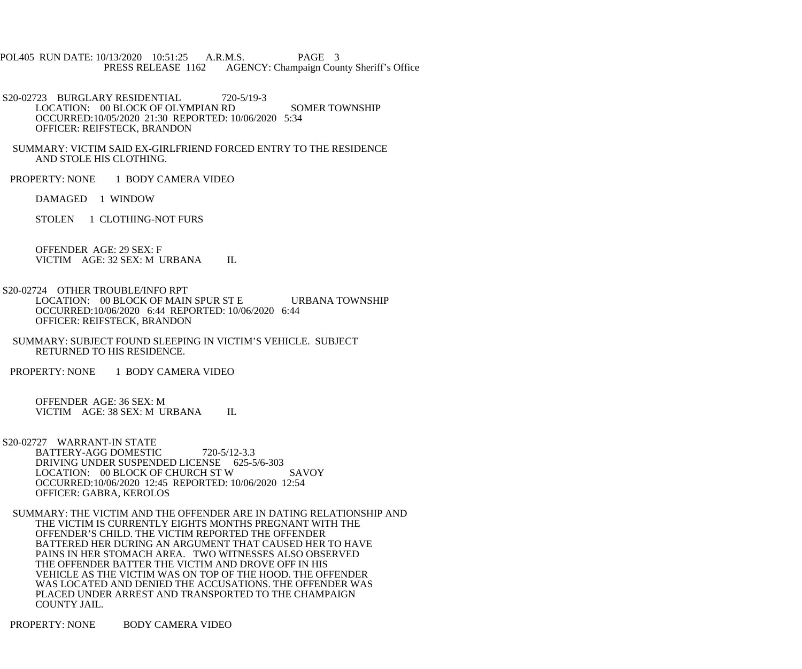POL405 RUN DATE: 10/13/2020 10:51:25 A.R.M.S. PAGE 3<br>PRESS RELEASE 1162 AGENCY: Champaign Cou AGENCY: Champaign County Sheriff's Office

S20-02723 BURGLARY RESIDENTIAL 720-5/19-3 LOCATION: 00 BLOCK OF OLYMPIAN RD SOMER TOWNSHIP OCCURRED:10/05/2020 21:30 REPORTED: 10/06/2020 5:34 OFFICER: REIFSTECK, BRANDON

 SUMMARY: VICTIM SAID EX-GIRLFRIEND FORCED ENTRY TO THE RESIDENCE AND STOLE HIS CLOTHING.

PROPERTY: NONE 1 BODY CAMERA VIDEO

DAMAGED 1 WINDOW

STOLEN 1 CLOTHING-NOT FURS

 OFFENDER AGE: 29 SEX: F VICTIM AGE: 32 SEX: M URBANA IL

 S20-02724 OTHER TROUBLE/INFO RPT LOCATION: 00 BLOCK OF MAIN SPUR ST E URBANA TOWNSHIP OCCURRED:10/06/2020 6:44 REPORTED: 10/06/2020 6:44 OFFICER: REIFSTECK, BRANDON

 SUMMARY: SUBJECT FOUND SLEEPING IN VICTIM'S VEHICLE. SUBJECT RETURNED TO HIS RESIDENCE.

PROPERTY: NONE 1 BODY CAMERA VIDEO

 OFFENDER AGE: 36 SEX: M VICTIM AGE: 38 SEX: M URBANA IL

 S20-02727 WARRANT-IN STATE BATTERY-AGG DOMESTIC 720-5/12-3.3 DRIVING UNDER SUSPENDED LICENSE 625-5/6-303 LOCATION: 00 BLOCK OF CHURCH ST W SAVOY OCCURRED:10/06/2020 12:45 REPORTED: 10/06/2020 12:54 OFFICER: GABRA, KEROLOS

 SUMMARY: THE VICTIM AND THE OFFENDER ARE IN DATING RELATIONSHIP AND THE VICTIM IS CURRENTLY EIGHTS MONTHS PREGNANT WITH THE OFFENDER'S CHILD. THE VICTIM REPORTED THE OFFENDER BATTERED HER DURING AN ARGUMENT THAT CAUSED HER TO HAVE PAINS IN HER STOMACH AREA. TWO WITNESSES ALSO OBSERVED THE OFFENDER BATTER THE VICTIM AND DROVE OFF IN HIS VEHICLE AS THE VICTIM WAS ON TOP OF THE HOOD. THE OFFENDER WAS LOCATED AND DENIED THE ACCUSATIONS. THE OFFENDER WAS PLACED UNDER ARREST AND TRANSPORTED TO THE CHAMPAIGN COUNTY JAIL.

PROPERTY: NONE BODY CAMERA VIDEO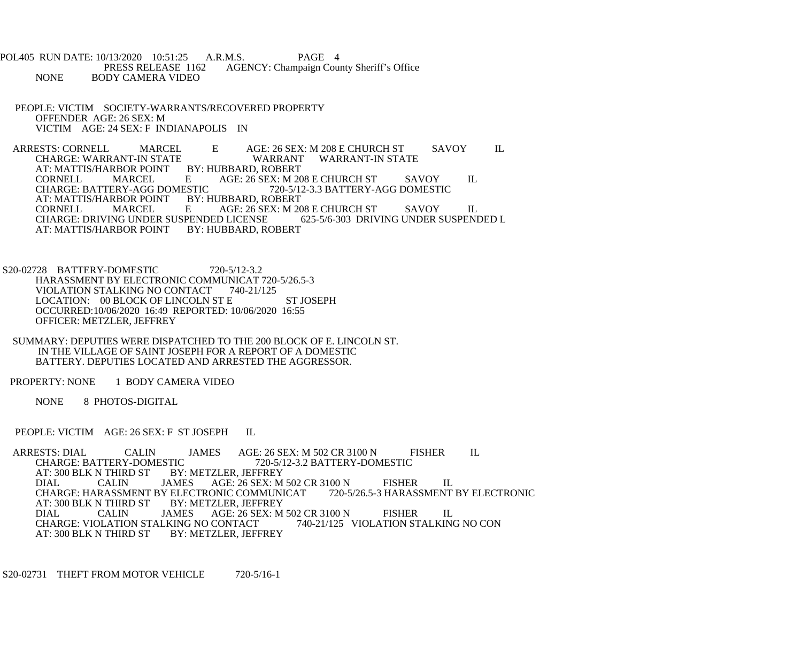POL405 RUN DATE: 10/13/2020 10:51:25 A.R.M.S. PAGE 4<br>PRESS RELEASE 1162 AGENCY: Champaign Cou PRESS RELEASE 1162 AGENCY: Champaign County Sheriff's Office<br>NONE BODY CAMERA VIDEO **BODY CAMERA VIDEO** 

 PEOPLE: VICTIM SOCIETY-WARRANTS/RECOVERED PROPERTY OFFENDER AGE: 26 SEX: M VICTIM AGE: 24 SEX: F INDIANAPOLIS IN

ARRESTS: CORNELL MARCEL E AGE: 26 SEX: M 208 E CHURCH ST SAVOY IL CHARGE: WARRANT-IN STATE CHARGE: WARRANT-IN STATE WARRANT<br>AT: MATTIS/HARBOR POINT BY: HUBBARD. ROBERT AT: MATTIS/HARBOR POINT BY<br>CORNELL MARCEL E CORNELL MARCEL E AGE: 26 SEX: M 208 E CHURCH ST SAVOY IL<br>CHARGE: BATTERY-AGG DOMESTIC 720-5/12-3.3 BATTERY-AGG DOMESTIC ESTIC 720-5/12-3.3 BATTERY-AGG DOMESTIC<br>BY: HUBBARD, ROBERT AT: MATTIS/HARBOR POINT B<br>CORNELL MARCEL E AGE: 26 SEX: M 208 E CHURCH ST SAVOY IL<br>D LICENSE 625-5/6-303 DRIVING UNDER SUSPENDED L CHARGE: DRIVING UNDER SUSPENDED LICENSE AT: MATTIS/HARBOR POINT BY: HUBBARD, ROBERT

 S20-02728 BATTERY-DOMESTIC 720-5/12-3.2 HARASSMENT BY ELECTRONIC COMMUNICAT 720-5/26.5-3 VIOLATION STALKING NO CONTACT 740-21/125 LOCATION: 00 BLOCK OF LINCOLN ST E ST JOSEPH OCCURRED:10/06/2020 16:49 REPORTED: 10/06/2020 16:55 OFFICER: METZLER, JEFFREY

 SUMMARY: DEPUTIES WERE DISPATCHED TO THE 200 BLOCK OF E. LINCOLN ST. IN THE VILLAGE OF SAINT JOSEPH FOR A REPORT OF A DOMESTIC BATTERY. DEPUTIES LOCATED AND ARRESTED THE AGGRESSOR.

PROPERTY: NONE 1 BODY CAMERA VIDEO

NONE 8 PHOTOS-DIGITAL

PEOPLE: VICTIM AGE: 26 SEX: F ST JOSEPH IL

ARRESTS: DIAL CALIN JAMES AGE: 26 SEX: M 502 CR 3100 N FISHER IL CHARGE: BATTERY-DOMESTIC 720-5/12-3.2 BATTERY-DOMESTIC CHARGE: BATTERY-DOMESTIC<br>AT: 300 BLK N THIRD ST BY: BY: METZLER, JEFFREY<br>JAMES AGE: 26 SEX: M DIAL CALIN JAMES AGE: 26 SEX: M 502 CR 3100 N FISHER IL<br>CHARGE: HARASSMENT BY ELECTRONIC COMMUNICAT 720-5/26.5-3 HARASSMENT BY ELECTRONIC CHARGE: HARASSMENT BY ELECTRONIC COMMUNICAT<br>AT: 300 BLK N THIRD ST BY: METZLER. JEFFREY AT: 300 BLK N THIRD ST BY: M<br>DIAL CALIN JAMES CALIN JAMES AGE: 26 SEX: M 502 CR 3100 N FISHER IL<br>OLATION STALKING NO CONTACT 740-21/125 VIOLATION STALKING NO CON CHARGE: VIOLATION STALKING NO CONTACT AT: 300 BLK N THIRD ST BY: METZLER, JEFFREY

S20-02731 THEFT FROM MOTOR VEHICLE 720-5/16-1